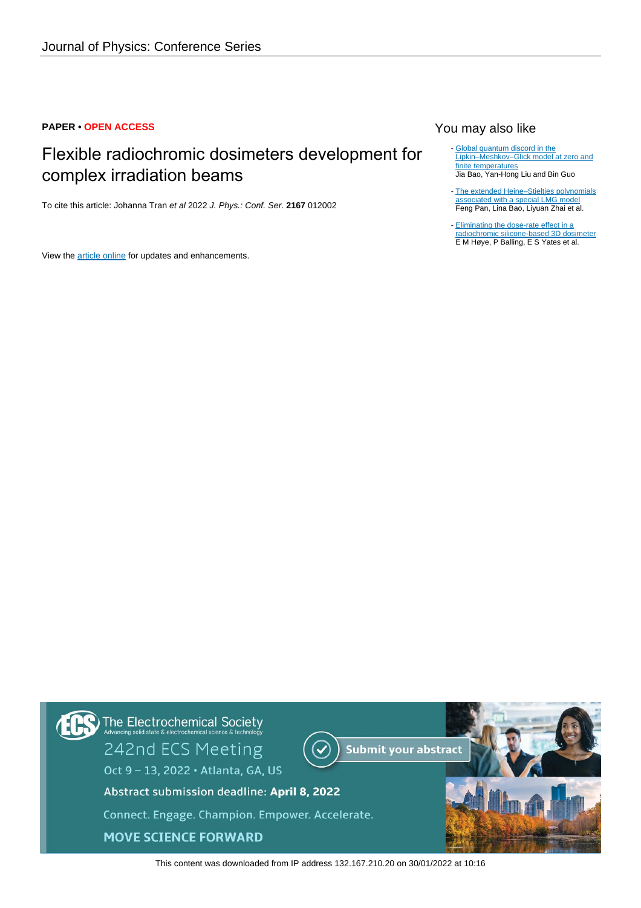### **PAPER • OPEN ACCESS**

# Flexible radiochromic dosimeters development for complex irradiation beams

To cite this article: Johanna Tran et al 2022 J. Phys.: Conf. Ser. **2167** 012002

View the [article online](https://doi.org/10.1088/1742-6596/2167/1/012002) for updates and enhancements.

## You may also like

- [Global quantum discord in the](https://iopscience.iop.org/article/10.1088/1361-648X/ac2647) [Lipkin–Meshkov–Glick model at zero and](https://iopscience.iop.org/article/10.1088/1361-648X/ac2647) [finite temperatures](https://iopscience.iop.org/article/10.1088/1361-648X/ac2647) Jia Bao, Yan-Hong Liu and Bin Guo
- [The extended Heine–Stieltjes polynomials](https://iopscience.iop.org/article/10.1088/1751-8113/44/39/395305) [associated with a special LMG model](https://iopscience.iop.org/article/10.1088/1751-8113/44/39/395305) Feng Pan, Lina Bao, Liyuan Zhai et al. -
- [Eliminating the dose-rate effect in a](https://iopscience.iop.org/article/10.1088/0031-9155/60/14/5557) [radiochromic silicone-based 3D dosimeter](https://iopscience.iop.org/article/10.1088/0031-9155/60/14/5557) E M Høye, P Balling, E S Yates et al. -



This content was downloaded from IP address 132.167.210.20 on 30/01/2022 at 10:16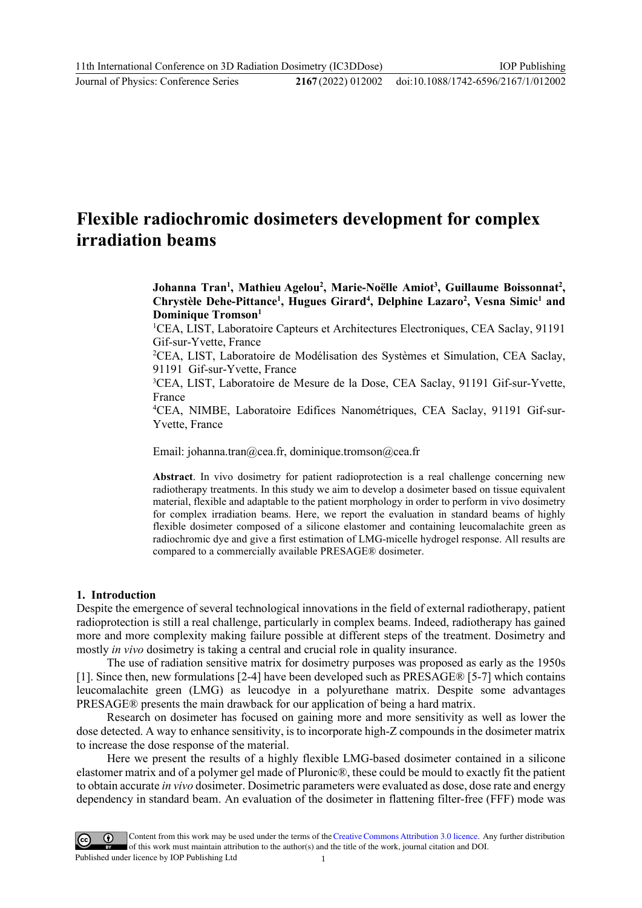Journal of Physics: Conference Series **2167** (2022) 012002

# **Flexible radiochromic dosimeters development for complex irradiation beams**

**Johanna Tran1 , Mathieu Agelou2 , Marie-Noëlle Amiot3 , Guillaume Boissonnat2 , Chrystèle Dehe-Pittance1 , Hugues Girard4 , Delphine Lazaro2 , Vesna Simic1 and Dominique Tromson1**

<sup>1</sup>CEA, LIST, Laboratoire Capteurs et Architectures Electroniques, CEA Saclay, 91191 Gif-sur-Yvette, France

2 CEA, LIST, Laboratoire de Modélisation des Systèmes et Simulation, CEA Saclay, 91191 Gif-sur-Yvette, France

3 CEA, LIST, Laboratoire de Mesure de la Dose, CEA Saclay, 91191 Gif-sur-Yvette, France

4 CEA, NIMBE, Laboratoire Edifices Nanométriques, CEA Saclay, 91191 Gif-sur-Yvette, France

Email: johanna.tran@cea.fr, dominique.tromson@cea.fr

**Abstract**. In vivo dosimetry for patient radioprotection is a real challenge concerning new radiotherapy treatments. In this study we aim to develop a dosimeter based on tissue equivalent material, flexible and adaptable to the patient morphology in order to perform in vivo dosimetry for complex irradiation beams. Here, we report the evaluation in standard beams of highly flexible dosimeter composed of a silicone elastomer and containing leucomalachite green as radiochromic dye and give a first estimation of LMG-micelle hydrogel response. All results are compared to a commercially available PRESAGE® dosimeter.

#### **1. Introduction**

Despite the emergence of several technological innovations in the field of external radiotherapy, patient radioprotection is still a real challenge, particularly in complex beams. Indeed, radiotherapy has gained more and more complexity making failure possible at different steps of the treatment. Dosimetry and mostly *in vivo* dosimetry is taking a central and crucial role in quality insurance.

The use of radiation sensitive matrix for dosimetry purposes was proposed as early as the 1950s [1]. Since then, new formulations [2-4] have been developed such as PRESAGE® [5-7] which contains leucomalachite green (LMG) as leucodye in a polyurethane matrix. Despite some advantages PRESAGE® presents the main drawback for our application of being a hard matrix.

Research on dosimeter has focused on gaining more and more sensitivity as well as lower the dose detected. A way to enhance sensitivity, is to incorporate high-Z compounds in the dosimeter matrix to increase the dose response of the material.

Here we present the results of a highly flexible LMG-based dosimeter contained in a silicone elastomer matrix and of a polymer gel made of Pluronic®, these could be mould to exactly fit the patient to obtain accurate *in vivo* dosimeter. Dosimetric parameters were evaluated as dose, dose rate and energy dependency in standard beam. An evaluation of the dosimeter in flattening filter-free (FFF) mode was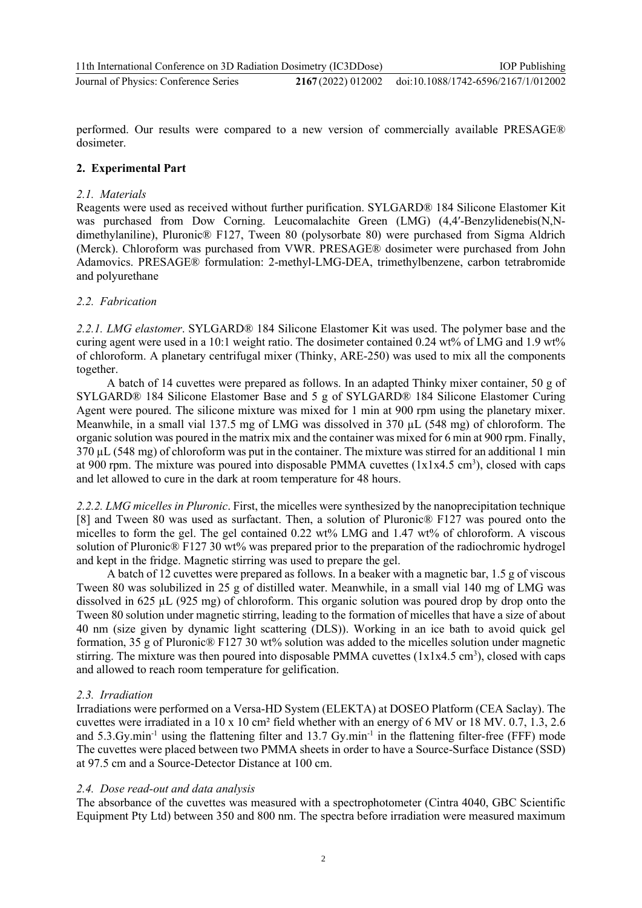performed. Our results were compared to a new version of commercially available PRESAGE® dosimeter.

## **2. Experimental Part**

### *2.1. Materials*

Reagents were used as received without further purification. SYLGARD® 184 Silicone Elastomer Kit was purchased from Dow Corning. Leucomalachite Green (LMG) (4,4'-Benzylidenebis(N,Ndimethylaniline), Pluronic® F127, Tween 80 (polysorbate 80) were purchased from Sigma Aldrich (Merck). Chloroform was purchased from VWR. PRESAGE® dosimeter were purchased from John Adamovics. PRESAGE® formulation: 2-methyl-LMG-DEA, trimethylbenzene, carbon tetrabromide and polyurethane

## *2.2. Fabrication*

*2.2.1. LMG elastomer*. SYLGARD® 184 Silicone Elastomer Kit was used. The polymer base and the curing agent were used in a 10:1 weight ratio. The dosimeter contained 0.24 wt% of LMG and 1.9 wt% of chloroform. A planetary centrifugal mixer (Thinky, ARE-250) was used to mix all the components together.

A batch of 14 cuvettes were prepared as follows. In an adapted Thinky mixer container, 50 g of SYLGARD® 184 Silicone Elastomer Base and 5 g of SYLGARD® 184 Silicone Elastomer Curing Agent were poured. The silicone mixture was mixed for 1 min at 900 rpm using the planetary mixer. Meanwhile, in a small vial 137.5 mg of LMG was dissolved in 370 µL (548 mg) of chloroform. The organic solution was poured in the matrix mix and the container was mixed for 6 min at 900 rpm. Finally, 370 µL (548 mg) of chloroform was put in the container. The mixture was stirred for an additional 1 min at 900 rpm. The mixture was poured into disposable PMMA cuvettes  $(1x1x4.5 \text{ cm}^3)$ , closed with caps and let allowed to cure in the dark at room temperature for 48 hours.

*2.2.2. LMG micelles in Pluronic*. First, the micelles were synthesized by the nanoprecipitation technique [8] and Tween 80 was used as surfactant. Then, a solution of Pluronic® F127 was poured onto the micelles to form the gel. The gel contained  $0.22 \text{ wt\% LMG}$  and  $1.47 \text{ wt\%}$  of chloroform. A viscous solution of Pluronic® F127 30 wt% was prepared prior to the preparation of the radiochromic hydrogel and kept in the fridge. Magnetic stirring was used to prepare the gel.

A batch of 12 cuvettes were prepared as follows. In a beaker with a magnetic bar, 1.5 g of viscous Tween 80 was solubilized in 25 g of distilled water. Meanwhile, in a small vial 140 mg of LMG was dissolved in 625 µL (925 mg) of chloroform. This organic solution was poured drop by drop onto the Tween 80 solution under magnetic stirring, leading to the formation of micelles that have a size of about 40 nm (size given by dynamic light scattering (DLS)). Working in an ice bath to avoid quick gel formation, 35 g of Pluronic® F127 30 wt% solution was added to the micelles solution under magnetic stirring. The mixture was then poured into disposable PMMA cuvettes  $(1x1x4.5 \text{ cm}^3)$ , closed with caps and allowed to reach room temperature for gelification.

#### *2.3. Irradiation*

Irradiations were performed on a Versa-HD System (ELEKTA) at DOSEO Platform (CEA Saclay). The cuvettes were irradiated in a 10 x 10 cm² field whether with an energy of 6 MV or 18 MV. 0.7, 1.3, 2.6 and 5.3.Gy.min<sup>-1</sup> using the flattening filter and 13.7 Gy.min<sup>-1</sup> in the flattening filter-free (FFF) mode The cuvettes were placed between two PMMA sheets in order to have a Source-Surface Distance (SSD) at 97.5 cm and a Source-Detector Distance at 100 cm.

#### *2.4. Dose read-out and data analysis*

The absorbance of the cuvettes was measured with a spectrophotometer (Cintra 4040, GBC Scientific Equipment Pty Ltd) between 350 and 800 nm. The spectra before irradiation were measured maximum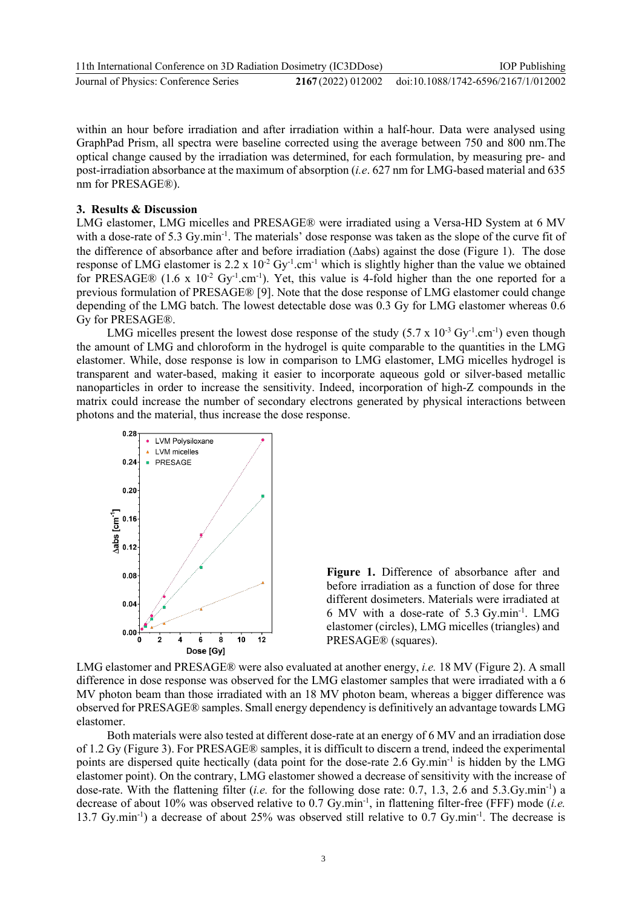| 11th International Conference on 3D Radiation Dosimetry (IC3DDose) |  | <b>IOP</b> Publishing                                  |
|--------------------------------------------------------------------|--|--------------------------------------------------------|
| Journal of Physics: Conference Series                              |  | 2167 (2022) 012002 doi:10.1088/1742-6596/2167/1/012002 |

within an hour before irradiation and after irradiation within a half-hour. Data were analysed using GraphPad Prism, all spectra were baseline corrected using the average between 750 and 800 nm.The optical change caused by the irradiation was determined, for each formulation, by measuring pre- and post-irradiation absorbance at the maximum of absorption (*i.e*. 627 nm for LMG-based material and 635 nm for PRESAGE®).

#### **3. Results & Discussion**

LMG elastomer, LMG micelles and PRESAGE® were irradiated using a Versa-HD System at 6 MV with a dose-rate of 5.3 Gy.min<sup>-1</sup>. The materials' dose response was taken as the slope of the curve fit of the difference of absorbance after and before irradiation (∆abs) against the dose (Figure 1). The dose response of LMG elastomer is 2.2 x  $10^{-2}$  Gy<sup>-1</sup>.cm<sup>-1</sup> which is slightly higher than the value we obtained for PRESAGE® (1.6 x  $10^{-2}$  Gy<sup>-1</sup>.cm<sup>-1</sup>). Yet, this value is 4-fold higher than the one reported for a previous formulation of PRESAGE® [9]. Note that the dose response of LMG elastomer could change depending of the LMG batch. The lowest detectable dose was 0.3 Gy for LMG elastomer whereas 0.6 Gy for PRESAGE®.

LMG micelles present the lowest dose response of the study  $(5.7 \times 10^{-3} \text{ Gy}^{-1} \cdot \text{cm}^{-1})$  even though the amount of LMG and chloroform in the hydrogel is quite comparable to the quantities in the LMG elastomer. While, dose response is low in comparison to LMG elastomer, LMG micelles hydrogel is transparent and water-based, making it easier to incorporate aqueous gold or silver-based metallic nanoparticles in order to increase the sensitivity. Indeed, incorporation of high-Z compounds in the matrix could increase the number of secondary electrons generated by physical interactions between photons and the material, thus increase the dose response.



**Figure 1.** Difference of absorbance after and before irradiation as a function of dose for three different dosimeters. Materials were irradiated at 6 MV with a dose-rate of 5.3 Gy.min-1 . LMG elastomer (circles), LMG micelles (triangles) and PRESAGE® (squares).

LMG elastomer and PRESAGE® were also evaluated at another energy, *i.e.* 18 MV (Figure 2). A small difference in dose response was observed for the LMG elastomer samples that were irradiated with a 6 MV photon beam than those irradiated with an 18 MV photon beam, whereas a bigger difference was observed for PRESAGE® samples. Small energy dependency is definitively an advantage towards LMG elastomer.

Both materials were also tested at different dose-rate at an energy of 6 MV and an irradiation dose of 1.2 Gy (Figure 3). For PRESAGE® samples, it is difficult to discern a trend, indeed the experimental points are dispersed quite hectically (data point for the dose-rate 2.6 Gy.min<sup>-1</sup> is hidden by the LMG elastomer point). On the contrary, LMG elastomer showed a decrease of sensitivity with the increase of dose-rate. With the flattening filter (*i.e.* for the following dose rate: 0.7, 1.3, 2.6 and 5.3.Gy.min<sup>-1</sup>) a decrease of about 10% was observed relative to 0.7 Gy.min-1 , in flattening filter-free (FFF) mode (*i.e.* 13.7 Gy.min<sup>-1</sup>) a decrease of about 25% was observed still relative to 0.7 Gy.min<sup>-1</sup>. The decrease is